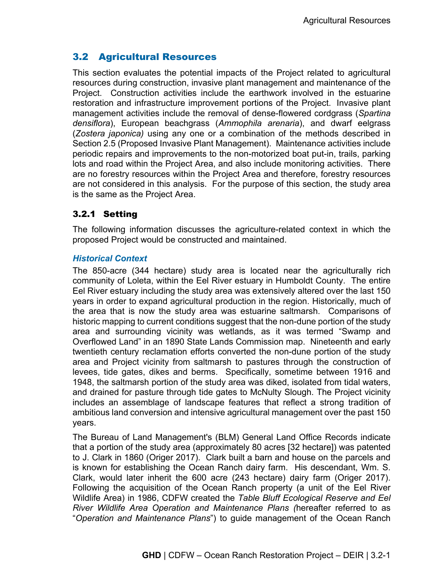# 3.2 Agricultural Resources

This section evaluates the potential impacts of the Project related to agricultural resources during construction, invasive plant management and maintenance of the Project. Construction activities include the earthwork involved in the estuarine restoration and infrastructure improvement portions of the Project. Invasive plant management activities include the removal of dense-flowered cordgrass (*Spartina densiflora*), European beachgrass (*Ammophila arenaria*), and dwarf eelgrass (*Zostera japonica)* using any one or a combination of the methods described in Section 2.5 (Proposed Invasive Plant Management). Maintenance activities include periodic repairs and improvements to the non-motorized boat put-in, trails, parking lots and road within the Project Area, and also include monitoring activities. There are no forestry resources within the Project Area and therefore, forestry resources are not considered in this analysis. For the purpose of this section, the study area is the same as the Project Area.

## 3.2.1 Setting

The following information discusses the agriculture-related context in which the proposed Project would be constructed and maintained.

### *Historical Context*

The 850-acre (344 hectare) study area is located near the agriculturally rich community of Loleta, within the Eel River estuary in Humboldt County. The entire Eel River estuary including the study area was extensively altered over the last 150 years in order to expand agricultural production in the region. Historically, much of the area that is now the study area was estuarine saltmarsh. Comparisons of historic mapping to current conditions suggest that the non-dune portion of the study area and surrounding vicinity was wetlands, as it was termed "Swamp and Overflowed Land" in an 1890 State Lands Commission map. Nineteenth and early twentieth century reclamation efforts converted the non-dune portion of the study area and Project vicinity from saltmarsh to pastures through the construction of levees, tide gates, dikes and berms. Specifically, sometime between 1916 and 1948, the saltmarsh portion of the study area was diked, isolated from tidal waters, and drained for pasture through tide gates to McNulty Slough. The Project vicinity includes an assemblage of landscape features that reflect a strong tradition of ambitious land conversion and intensive agricultural management over the past 150 years.

The Bureau of Land Management's (BLM) General Land Office Records indicate that a portion of the study area (approximately 80 acres [32 hectare]) was patented to J. Clark in 1860 (Origer 2017). Clark built a barn and house on the parcels and is known for establishing the Ocean Ranch dairy farm. His descendant, Wm. S. Clark, would later inherit the 600 acre (243 hectare) dairy farm (Origer 2017). Following the acquisition of the Ocean Ranch property (a unit of the Eel River Wildlife Area) in 1986, CDFW created the *Table Bluff Ecological Reserve and Eel River Wildlife Area Operation and Maintenance Plans (*hereafter referred to as "*Operation and Maintenance Plans*") to guide management of the Ocean Ranch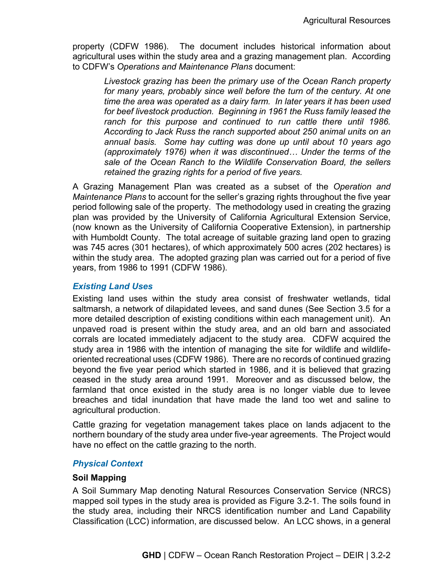property (CDFW 1986). The document includes historical information about agricultural uses within the study area and a grazing management plan. According to CDFW's *Operations and Maintenance Plans* document:

*Livestock grazing has been the primary use of the Ocean Ranch property*  for many years, probably since well before the turn of the century. At one *time the area was operated as a dairy farm. In later years it has been used for beef livestock production. Beginning in 1961 the Russ family leased the*  ranch for this purpose and continued to run cattle there until 1986. *According to Jack Russ the ranch supported about 250 animal units on an annual basis. Some hay cutting was done up until about 10 years ago (approximately 1976) when it was discontinued… Under the terms of the sale of the Ocean Ranch to the Wildlife Conservation Board, the sellers retained the grazing rights for a period of five years.* 

A Grazing Management Plan was created as a subset of the *Operation and Maintenance Plans* to account for the seller's grazing rights throughout the five year period following sale of the property. The methodology used in creating the grazing plan was provided by the University of California Agricultural Extension Service, (now known as the University of California Cooperative Extension), in partnership with Humboldt County. The total acreage of suitable grazing land open to grazing was 745 acres (301 hectares), of which approximately 500 acres (202 hectares) is within the study area. The adopted grazing plan was carried out for a period of five years, from 1986 to 1991 (CDFW 1986).

#### *Existing Land Uses*

Existing land uses within the study area consist of freshwater wetlands, tidal saltmarsh, a network of dilapidated levees, and sand dunes (See Section 3.5 for a more detailed description of existing conditions within each management unit). An unpaved road is present within the study area, and an old barn and associated corrals are located immediately adjacent to the study area. CDFW acquired the study area in 1986 with the intention of managing the site for wildlife and wildlifeoriented recreational uses (CDFW 1986). There are no records of continued grazing beyond the five year period which started in 1986, and it is believed that grazing ceased in the study area around 1991. Moreover and as discussed below, the farmland that once existed in the study area is no longer viable due to levee breaches and tidal inundation that have made the land too wet and saline to agricultural production.

Cattle grazing for vegetation management takes place on lands adjacent to the northern boundary of the study area under five-year agreements. The Project would have no effect on the cattle grazing to the north.

#### *Physical Context*

#### **Soil Mapping**

A Soil Summary Map denoting Natural Resources Conservation Service (NRCS) mapped soil types in the study area is provided as Figure 3.2-1. The soils found in the study area, including their NRCS identification number and Land Capability Classification (LCC) information, are discussed below. An LCC shows, in a general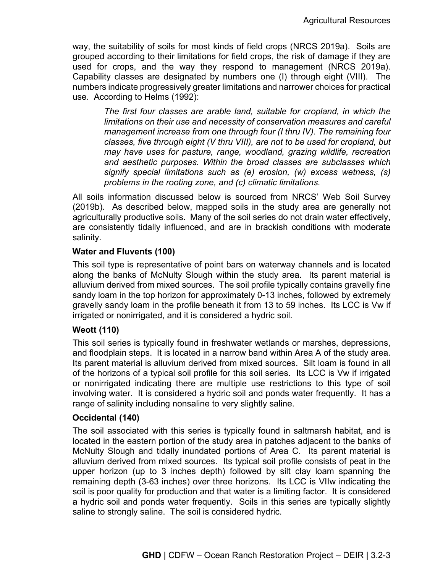way, the suitability of soils for most kinds of field crops (NRCS 2019a). Soils are grouped according to their limitations for field crops, the risk of damage if they are used for crops, and the way they respond to management (NRCS 2019a). Capability classes are designated by numbers one (I) through eight (VIII). The numbers indicate progressively greater limitations and narrower choices for practical use. According to Helms (1992):

*The first four classes are arable land, suitable for cropland, in which the limitations on their use and necessity of conservation measures and careful management increase from one through four (I thru IV). The remaining four classes, five through eight (V thru VIII), are not to be used for cropland, but may have uses for pasture, range, woodland, grazing wildlife, recreation and aesthetic purposes. Within the broad classes are subclasses which signify special limitations such as (e) erosion, (w) excess wetness, (s) problems in the rooting zone, and (c) climatic limitations.* 

All soils information discussed below is sourced from NRCS' Web Soil Survey (2019b). As described below, mapped soils in the study area are generally not agriculturally productive soils. Many of the soil series do not drain water effectively, are consistently tidally influenced, and are in brackish conditions with moderate salinity.

#### **Water and Fluvents (100)**

This soil type is representative of point bars on waterway channels and is located along the banks of McNulty Slough within the study area. Its parent material is alluvium derived from mixed sources. The soil profile typically contains gravelly fine sandy loam in the top horizon for approximately 0-13 inches, followed by extremely gravelly sandy loam in the profile beneath it from 13 to 59 inches. Its LCC is Vw if irrigated or nonirrigated, and it is considered a hydric soil.

#### **Weott (110)**

This soil series is typically found in freshwater wetlands or marshes, depressions, and floodplain steps. It is located in a narrow band within Area A of the study area. Its parent material is alluvium derived from mixed sources. Silt loam is found in all of the horizons of a typical soil profile for this soil series. Its LCC is Vw if irrigated or nonirrigated indicating there are multiple use restrictions to this type of soil involving water. It is considered a hydric soil and ponds water frequently. It has a range of salinity including nonsaline to very slightly saline.

#### **Occidental (140)**

The soil associated with this series is typically found in saltmarsh habitat, and is located in the eastern portion of the study area in patches adjacent to the banks of McNulty Slough and tidally inundated portions of Area C. Its parent material is alluvium derived from mixed sources. Its typical soil profile consists of peat in the upper horizon (up to 3 inches depth) followed by silt clay loam spanning the remaining depth (3-63 inches) over three horizons. Its LCC is VIIw indicating the soil is poor quality for production and that water is a limiting factor. It is considered a hydric soil and ponds water frequently. Soils in this series are typically slightly saline to strongly saline. The soil is considered hydric.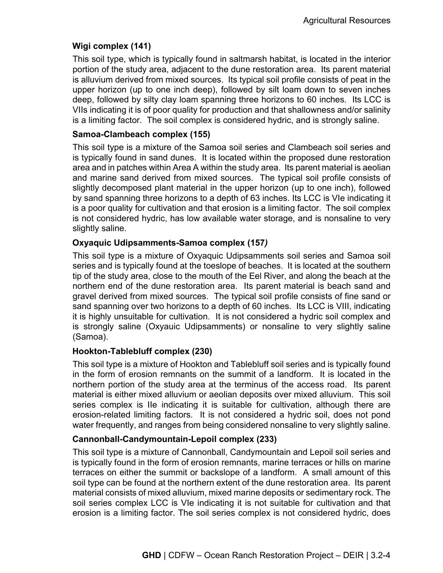### **Wigi complex (141)**

This soil type, which is typically found in saltmarsh habitat, is located in the interior portion of the study area, adjacent to the dune restoration area. Its parent material is alluvium derived from mixed sources. Its typical soil profile consists of peat in the upper horizon (up to one inch deep), followed by silt loam down to seven inches deep, followed by silty clay loam spanning three horizons to 60 inches. Its LCC is VIIs indicating it is of poor quality for production and that shallowness and/or salinity is a limiting factor. The soil complex is considered hydric, and is strongly saline.

#### **Samoa-Clambeach complex (155)**

This soil type is a mixture of the Samoa soil series and Clambeach soil series and is typically found in sand dunes. It is located within the proposed dune restoration area and in patches within Area A within the study area. Its parent material is aeolian and marine sand derived from mixed sources. The typical soil profile consists of slightly decomposed plant material in the upper horizon (up to one inch), followed by sand spanning three horizons to a depth of 63 inches. Its LCC is VIe indicating it is a poor quality for cultivation and that erosion is a limiting factor. The soil complex is not considered hydric, has low available water storage, and is nonsaline to very slightly saline.

### **Oxyaquic Udipsamments-Samoa complex (157***)*

This soil type is a mixture of Oxyaquic Udipsamments soil series and Samoa soil series and is typically found at the toeslope of beaches. It is located at the southern tip of the study area, close to the mouth of the Eel River, and along the beach at the northern end of the dune restoration area. Its parent material is beach sand and gravel derived from mixed sources. The typical soil profile consists of fine sand or sand spanning over two horizons to a depth of 60 inches. Its LCC is VIII, indicating it is highly unsuitable for cultivation. It is not considered a hydric soil complex and is strongly saline (Oxyauic Udipsamments) or nonsaline to very slightly saline (Samoa).

#### **Hookton-Tablebluff complex (230)**

This soil type is a mixture of Hookton and Tablebluff soil series and is typically found in the form of erosion remnants on the summit of a landform. It is located in the northern portion of the study area at the terminus of the access road. Its parent material is either mixed alluvium or aeolian deposits over mixed alluvium. This soil series complex is IIe indicating it is suitable for cultivation, although there are erosion-related limiting factors. It is not considered a hydric soil, does not pond water frequently, and ranges from being considered nonsaline to very slightly saline.

#### **Cannonball-Candymountain-Lepoil complex (233)**

This soil type is a mixture of Cannonball, Candymountain and Lepoil soil series and is typically found in the form of erosion remnants, marine terraces or hills on marine terraces on either the summit or backslope of a landform. A small amount of this soil type can be found at the northern extent of the dune restoration area. Its parent material consists of mixed alluvium, mixed marine deposits or sedimentary rock. The soil series complex LCC is VIe indicating it is not suitable for cultivation and that erosion is a limiting factor. The soil series complex is not considered hydric, does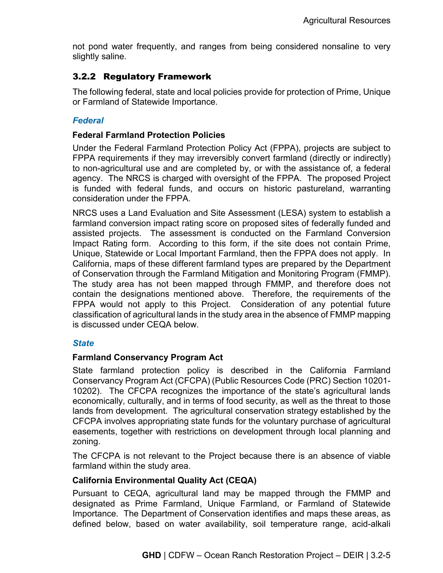not pond water frequently, and ranges from being considered nonsaline to very slightly saline.

## 3.2.2 Regulatory Framework

The following federal, state and local policies provide for protection of Prime, Unique or Farmland of Statewide Importance.

### *Federal*

#### **Federal Farmland Protection Policies**

Under the Federal Farmland Protection Policy Act (FPPA), projects are subject to FPPA requirements if they may irreversibly convert farmland (directly or indirectly) to non-agricultural use and are completed by, or with the assistance of, a federal agency. The NRCS is charged with oversight of the FPPA. The proposed Project is funded with federal funds, and occurs on historic pastureland, warranting consideration under the FPPA.

NRCS uses a Land Evaluation and Site Assessment (LESA) system to establish a farmland conversion impact rating score on proposed sites of federally funded and assisted projects. The assessment is conducted on the Farmland Conversion Impact Rating form. According to this form, if the site does not contain Prime, Unique, Statewide or Local Important Farmland, then the FPPA does not apply. In California, maps of these different farmland types are prepared by the Department of Conservation through the Farmland Mitigation and Monitoring Program (FMMP). The study area has not been mapped through FMMP, and therefore does not contain the designations mentioned above. Therefore, the requirements of the FPPA would not apply to this Project. Consideration of any potential future classification of agricultural lands in the study area in the absence of FMMP mapping is discussed under CEQA below.

#### *State*

#### **Farmland Conservancy Program Act**

State farmland protection policy is described in the California Farmland Conservancy Program Act (CFCPA) (Public Resources Code (PRC) Section 10201- 10202). The CFCPA recognizes the importance of the state's agricultural lands economically, culturally, and in terms of food security, as well as the threat to those lands from development. The agricultural conservation strategy established by the CFCPA involves appropriating state funds for the voluntary purchase of agricultural easements, together with restrictions on development through local planning and zoning.

The CFCPA is not relevant to the Project because there is an absence of viable farmland within the study area.

### **California Environmental Quality Act (CEQA)**

Pursuant to CEQA, agricultural land may be mapped through the FMMP and designated as Prime Farmland, Unique Farmland, or Farmland of Statewide Importance. The Department of Conservation identifies and maps these areas, as defined below, based on water availability, soil temperature range, acid-alkali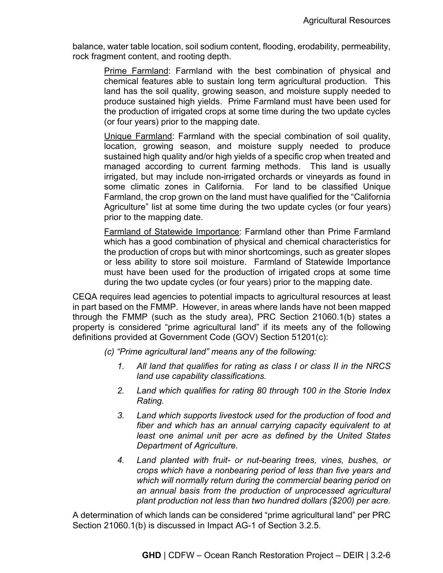balance, water table location, soil sodium content, flooding, erodability, permeability, rock fragment content, and rooting depth.

Prime Farmland: Farmland with the best combination of physical and chemical features able to sustain long term agricultural production. This land has the soil quality, growing season, and moisture supply needed to produce sustained high yields. Prime Farmland must have been used for the production of irrigated crops at some time during the two update cycles (or four years) prior to the mapping date.

Unique Farmland: Farmland with the special combination of soil quality, location, growing season, and moisture supply needed to produce sustained high quality and/or high yields of a specific crop when treated and managed according to current farming methods. This land is usually irrigated, but may include non-irrigated orchards or vineyards as found in some climatic zones in California. For land to be classified Unique Farmland, the crop grown on the land must have qualified for the "California Agriculture" list at some time during the two update cycles (or four years) prior to the mapping date.

Farmland of Statewide Importance: Farmland other than Prime Farmland which has a good combination of physical and chemical characteristics for the production of crops but with minor shortcomings, such as greater slopes or less ability to store soil moisture. Farmland of Statewide Importance must have been used for the production of irrigated crops at some time during the two update cycles (or four years) prior to the mapping date.

CEQA requires lead agencies to potential impacts to agricultural resources at least in part based on the FMMP. However, in areas where lands have not been mapped through the FMMP (such as the study area), PRC Section 21060.1(b) states a property is considered "prime agricultural land" if its meets any of the following definitions provided at Government Code (GOV) Section 51201(c):

- *(c) "Prime agricultural land" means any of the following:*
	- *1. All land that qualifies for rating as class I or class II in the NRCS land use capability classifications.*
	- *2. Land which qualifies for rating 80 through 100 in the Storie Index Rating.*
	- *3. Land which supports livestock used for the production of food and fiber and which has an annual carrying capacity equivalent to at least one animal unit per acre as defined by the United States Department of Agriculture.*
	- *4. Land planted with fruit- or nut-bearing trees, vines, bushes, or crops which have a nonbearing period of less than five years and which will normally return during the commercial bearing period on an annual basis from the production of unprocessed agricultural plant production not less than two hundred dollars (\$200) per acre.*

A determination of which lands can be considered "prime agricultural land" per PRC Section 21060.1(b) is discussed in Impact AG-1 of Section 3.2.5.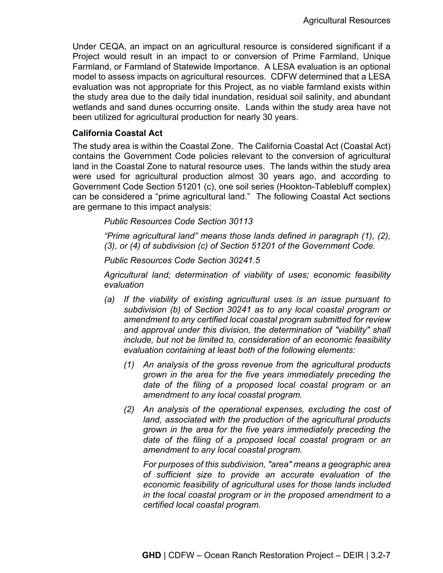Under CEQA, an impact on an agricultural resource is considered significant if a Project would result in an impact to or conversion of Prime Farmland, Unique Farmland, or Farmland of Statewide Importance. A LESA evaluation is an optional model to assess impacts on agricultural resources. CDFW determined that a LESA evaluation was not appropriate for this Project, as no viable farmland exists within the study area due to the daily tidal inundation, residual soil salinity, and abundant wetlands and sand dunes occurring onsite. Lands within the study area have not been utilized for agricultural production for nearly 30 years.

#### **California Coastal Act**

The study area is within the Coastal Zone. The California Coastal Act (Coastal Act) contains the Government Code policies relevant to the conversion of agricultural land in the Coastal Zone to natural resource uses. The lands within the study area were used for agricultural production almost 30 years ago, and according to Government Code Section 51201 (c), one soil series (Hookton-Tablebluff complex) can be considered a "prime agricultural land." The following Coastal Act sections are germane to this impact analysis:

*Public Resources Code Section 30113*

*"Prime agricultural land" means those lands defined in paragraph (1), (2), (3), or (4) of subdivision (c) of Section 51201 of the Government Code.* 

*Public Resources Code Section 30241.5* 

*Agricultural land; determination of viability of uses; economic feasibility evaluation* 

- *(a) If the viability of existing agricultural uses is an issue pursuant to subdivision (b) of Section 30241 as to any local coastal program or amendment to any certified local coastal program submitted for review and approval under this division, the determination of "viability" shall include, but not be limited to, consideration of an economic feasibility evaluation containing at least both of the following elements:* 
	- *(1) An analysis of the gross revenue from the agricultural products grown in the area for the five years immediately preceding the date of the filing of a proposed local coastal program or an amendment to any local coastal program.*
	- *(2) An analysis of the operational expenses, excluding the cost of land, associated with the production of the agricultural products grown in the area for the five years immediately preceding the date of the filing of a proposed local coastal program or an amendment to any local coastal program.*

*For purposes of this subdivision, "area" means a geographic area of sufficient size to provide an accurate evaluation of the economic feasibility of agricultural uses for those lands included in the local coastal program or in the proposed amendment to a certified local coastal program.*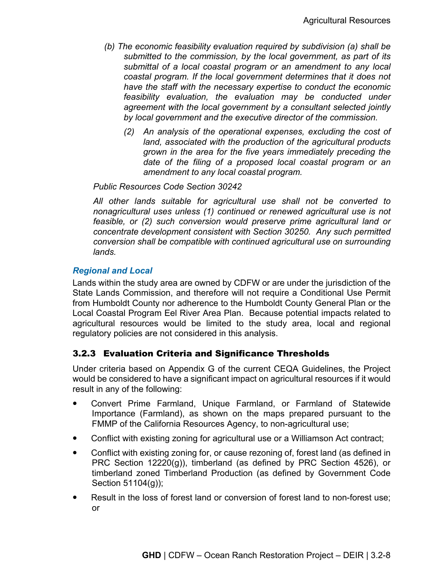- *(b) The economic feasibility evaluation required by subdivision (a) shall be submitted to the commission, by the local government, as part of its submittal of a local coastal program or an amendment to any local coastal program. If the local government determines that it does not have the staff with the necessary expertise to conduct the economic feasibility evaluation, the evaluation may be conducted under agreement with the local government by a consultant selected jointly by local government and the executive director of the commission.* 
	- *(2) An analysis of the operational expenses, excluding the cost of land, associated with the production of the agricultural products grown in the area for the five years immediately preceding the date of the filing of a proposed local coastal program or an amendment to any local coastal program.*

#### *Public Resources Code Section 30242*

*All other lands suitable for agricultural use shall not be converted to nonagricultural uses unless (1) continued or renewed agricultural use is not feasible, or (2) such conversion would preserve prime agricultural land or concentrate development consistent with Section 30250. Any such permitted conversion shall be compatible with continued agricultural use on surrounding lands.*

### *Regional and Local*

Lands within the study area are owned by CDFW or are under the jurisdiction of the State Lands Commission, and therefore will not require a Conditional Use Permit from Humboldt County nor adherence to the Humboldt County General Plan or the Local Coastal Program Eel River Area Plan. Because potential impacts related to agricultural resources would be limited to the study area, local and regional regulatory policies are not considered in this analysis.

## 3.2.3 Evaluation Criteria and Significance Thresholds

Under criteria based on Appendix G of the current CEQA Guidelines, the Project would be considered to have a significant impact on agricultural resources if it would result in any of the following:

- Convert Prime Farmland, Unique Farmland, or Farmland of Statewide Importance (Farmland), as shown on the maps prepared pursuant to the FMMP of the California Resources Agency, to non-agricultural use;
- Conflict with existing zoning for agricultural use or a Williamson Act contract;
- Conflict with existing zoning for, or cause rezoning of, forest land (as defined in PRC Section 12220(g)), timberland (as defined by PRC Section 4526), or timberland zoned Timberland Production (as defined by Government Code Section 51104(g));
- Result in the loss of forest land or conversion of forest land to non-forest use; or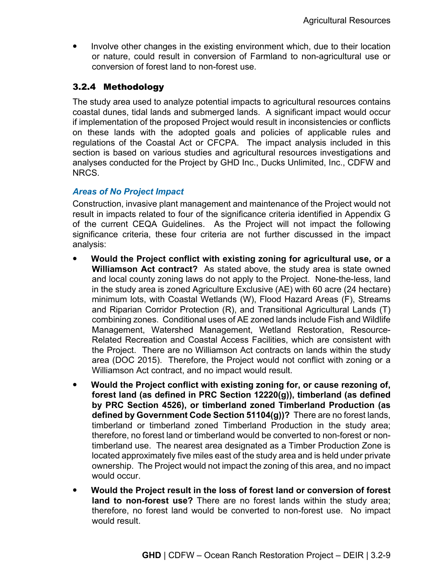• Involve other changes in the existing environment which, due to their location or nature, could result in conversion of Farmland to non-agricultural use or conversion of forest land to non-forest use.

## 3.2.4 Methodology

The study area used to analyze potential impacts to agricultural resources contains coastal dunes, tidal lands and submerged lands. A significant impact would occur if implementation of the proposed Project would result in inconsistencies or conflicts on these lands with the adopted goals and policies of applicable rules and regulations of the Coastal Act or CFCPA. The impact analysis included in this section is based on various studies and agricultural resources investigations and analyses conducted for the Project by GHD Inc., Ducks Unlimited, Inc., CDFW and NRCS.

### *Areas of No Project Impact*

Construction, invasive plant management and maintenance of the Project would not result in impacts related to four of the significance criteria identified in Appendix G of the current CEQA Guidelines. As the Project will not impact the following significance criteria, these four criteria are not further discussed in the impact analysis:

- **Would the Project conflict with existing zoning for agricultural use, or a Williamson Act contract?** As stated above, the study area is state owned and local county zoning laws do not apply to the Project. None-the-less, land in the study area is zoned Agriculture Exclusive (AE) with 60 acre (24 hectare) minimum lots, with Coastal Wetlands (W), Flood Hazard Areas (F), Streams and Riparian Corridor Protection (R), and Transitional Agricultural Lands (T) combining zones. Conditional uses of AE zoned lands include Fish and Wildlife Management, Watershed Management, Wetland Restoration, Resource-Related Recreation and Coastal Access Facilities, which are consistent with the Project. There are no Williamson Act contracts on lands within the study area (DOC 2015). Therefore, the Project would not conflict with zoning or a Williamson Act contract, and no impact would result.
- **Would the Project conflict with existing zoning for, or cause rezoning of, forest land (as defined in PRC Section 12220(g)), timberland (as defined by PRC Section 4526), or timberland zoned Timberland Production (as defined by Government Code Section 51104(g))?** There are no forest lands, timberland or timberland zoned Timberland Production in the study area; therefore, no forest land or timberland would be converted to non-forest or nontimberland use. The nearest area designated as a Timber Production Zone is located approximately five miles east of the study area and is held under private ownership. The Project would not impact the zoning of this area, and no impact would occur.
- **Would the Project result in the loss of forest land or conversion of forest land to non-forest use?** There are no forest lands within the study area; therefore, no forest land would be converted to non-forest use. No impact would result.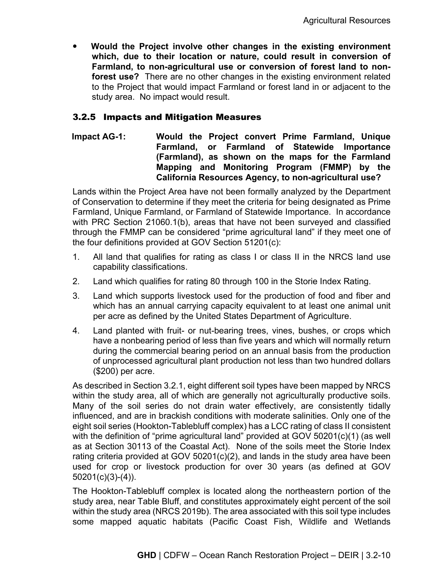**Would the Project involve other changes in the existing environment which, due to their location or nature, could result in conversion of Farmland, to non-agricultural use or conversion of forest land to nonforest use?** There are no other changes in the existing environment related to the Project that would impact Farmland or forest land in or adjacent to the study area. No impact would result.

## 3.2.5 Impacts and Mitigation Measures

**Impact AG-1: Would the Project convert Prime Farmland, Unique Farmland, or Farmland of Statewide Importance (Farmland), as shown on the maps for the Farmland Mapping and Monitoring Program (FMMP) by the California Resources Agency, to non-agricultural use?**

Lands within the Project Area have not been formally analyzed by the Department of Conservation to determine if they meet the criteria for being designated as Prime Farmland, Unique Farmland, or Farmland of Statewide Importance. In accordance with PRC Section 21060.1(b), areas that have not been surveyed and classified through the FMMP can be considered "prime agricultural land" if they meet one of the four definitions provided at GOV Section 51201(c):

- 1. All land that qualifies for rating as class I or class II in the NRCS land use capability classifications.
- 2. Land which qualifies for rating 80 through 100 in the Storie Index Rating.
- 3. Land which supports livestock used for the production of food and fiber and which has an annual carrying capacity equivalent to at least one animal unit per acre as defined by the United States Department of Agriculture.
- 4. Land planted with fruit- or nut-bearing trees, vines, bushes, or crops which have a nonbearing period of less than five years and which will normally return during the commercial bearing period on an annual basis from the production of unprocessed agricultural plant production not less than two hundred dollars (\$200) per acre.

As described in Section 3.2.1, eight different soil types have been mapped by NRCS within the study area, all of which are generally not agriculturally productive soils. Many of the soil series do not drain water effectively, are consistently tidally influenced, and are in brackish conditions with moderate salinities. Only one of the eight soil series (Hookton-Tablebluff complex) has a LCC rating of class II consistent with the definition of "prime agricultural land" provided at GOV 50201(c)(1) (as well as at Section 30113 of the Coastal Act). None of the soils meet the Storie Index rating criteria provided at GOV 50201(c)(2), and lands in the study area have been used for crop or livestock production for over 30 years (as defined at GOV 50201(c)(3)-(4)).

The Hookton-Tablebluff complex is located along the northeastern portion of the study area, near Table Bluff, and constitutes approximately eight percent of the soil within the study area (NRCS 2019b). The area associated with this soil type includes some mapped aquatic habitats (Pacific Coast Fish, Wildlife and Wetlands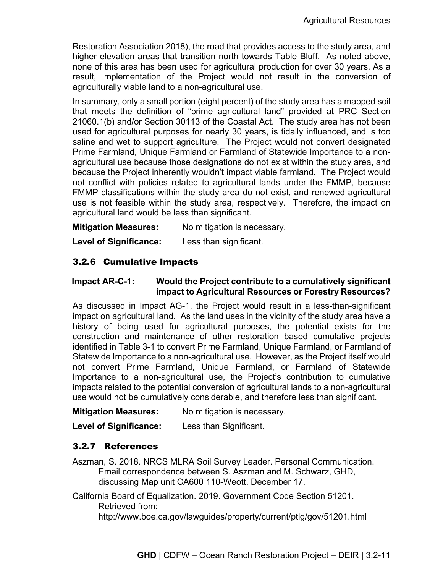Restoration Association 2018), the road that provides access to the study area, and higher elevation areas that transition north towards Table Bluff. As noted above, none of this area has been used for agricultural production for over 30 years. As a result, implementation of the Project would not result in the conversion of agriculturally viable land to a non-agricultural use.

In summary, only a small portion (eight percent) of the study area has a mapped soil that meets the definition of "prime agricultural land" provided at PRC Section 21060.1(b) and/or Section 30113 of the Coastal Act. The study area has not been used for agricultural purposes for nearly 30 years, is tidally influenced, and is too saline and wet to support agriculture. The Project would not convert designated Prime Farmland, Unique Farmland or Farmland of Statewide Importance to a nonagricultural use because those designations do not exist within the study area, and because the Project inherently wouldn't impact viable farmland. The Project would not conflict with policies related to agricultural lands under the FMMP, because FMMP classifications within the study area do not exist, and renewed agricultural use is not feasible within the study area, respectively. Therefore, the impact on agricultural land would be less than significant.

**Mitigation Measures:** No mitigation is necessary.

**Level of Significance:** Less than significant.

### 3.2.6 Cumulative Impacts

#### **Impact AR-C-1: Would the Project contribute to a cumulatively significant impact to Agricultural Resources or Forestry Resources?**

As discussed in Impact AG-1, the Project would result in a less-than-significant impact on agricultural land. As the land uses in the vicinity of the study area have a history of being used for agricultural purposes, the potential exists for the construction and maintenance of other restoration based cumulative projects identified in Table 3-1 to convert Prime Farmland, Unique Farmland, or Farmland of Statewide Importance to a non-agricultural use. However, as the Project itself would not convert Prime Farmland, Unique Farmland, or Farmland of Statewide Importance to a non-agricultural use, the Project's contribution to cumulative impacts related to the potential conversion of agricultural lands to a non-agricultural use would not be cumulatively considerable, and therefore less than significant.

#### **Mitigation Measures:** No mitigation is necessary.

**Level of Significance:** Less than Significant.

### 3.2.7 References

Aszman, S. 2018. NRCS MLRA Soil Survey Leader. Personal Communication. Email correspondence between S. Aszman and M. Schwarz, GHD, discussing Map unit CA600 110-Weott. December 17.

California Board of Equalization. 2019. Government Code Section 51201. Retrieved from: http://www.boe.ca.gov/lawguides/property/current/ptlg/gov/51201.html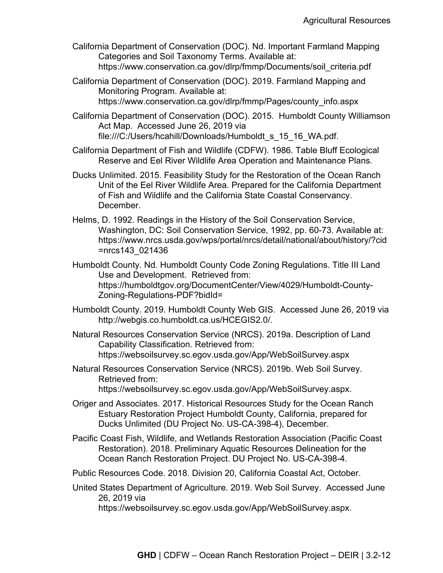California Department of Conservation (DOC). Nd. Important Farmland Mapping Categories and Soil Taxonomy Terms. Available at: https://www.conservation.ca.gov/dlrp/fmmp/Documents/soil\_criteria.pdf

California Department of Conservation (DOC). 2019. Farmland Mapping and Monitoring Program. Available at: https://www.conservation.ca.gov/dlrp/fmmp/Pages/county\_info.aspx

California Department of Conservation (DOC). 2015. Humboldt County Williamson Act Map. Accessed June 26, 2019 via file:///C:/Users/hcahill/Downloads/Humboldt\_s\_15\_16\_WA.pdf.

California Department of Fish and Wildlife (CDFW). 1986. Table Bluff Ecological Reserve and Eel River Wildlife Area Operation and Maintenance Plans.

Ducks Unlimited. 2015. Feasibility Study for the Restoration of the Ocean Ranch Unit of the Eel River Wildlife Area. Prepared for the California Department of Fish and Wildlife and the California State Coastal Conservancy. December.

Helms, D. 1992. Readings in the History of the Soil Conservation Service, Washington, DC: Soil Conservation Service, 1992, pp. 60-73. Available at: https://www.nrcs.usda.gov/wps/portal/nrcs/detail/national/about/history/?cid =nrcs143\_021436

Humboldt County. Nd. Humboldt County Code Zoning Regulations. Title III Land Use and Development. Retrieved from: https://humboldtgov.org/DocumentCenter/View/4029/Humboldt-County-Zoning-Regulations-PDF?bidId=

Humboldt County. 2019. Humboldt County Web GIS. Accessed June 26, 2019 via http://webgis.co.humboldt.ca.us/HCEGIS2.0/.

Natural Resources Conservation Service (NRCS). 2019a. Description of Land Capability Classification. Retrieved from: https://websoilsurvey.sc.egov.usda.gov/App/WebSoilSurvey.aspx

Natural Resources Conservation Service (NRCS). 2019b. Web Soil Survey. Retrieved from: https://websoilsurvey.sc.egov.usda.gov/App/WebSoilSurvey.aspx.

- Origer and Associates. 2017. Historical Resources Study for the Ocean Ranch Estuary Restoration Project Humboldt County, California, prepared for Ducks Unlimited (DU Project No. US-CA-398-4), December.
- Pacific Coast Fish, Wildlife, and Wetlands Restoration Association (Pacific Coast Restoration). 2018. Preliminary Aquatic Resources Delineation for the Ocean Ranch Restoration Project. DU Project No. US-CA-398-4.

Public Resources Code. 2018. Division 20, California Coastal Act, October.

United States Department of Agriculture. 2019. Web Soil Survey. Accessed June 26, 2019 via

https://websoilsurvey.sc.egov.usda.gov/App/WebSoilSurvey.aspx.